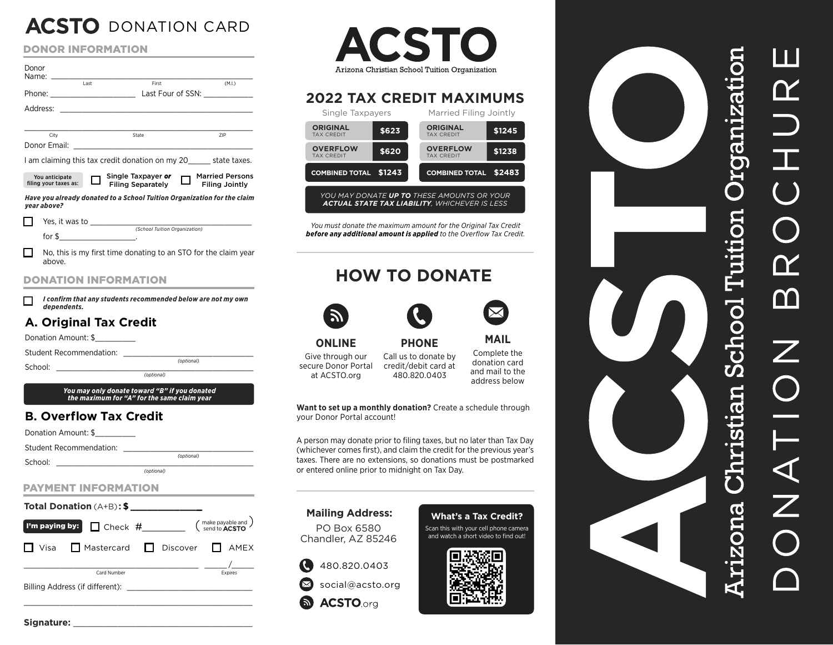# **ACSTO** DONATION CARD

| <b>DONOR INFORMATION</b> |  |  |  |
|--------------------------|--|--|--|
|                          |  |  |  |

| Donor        |                                                                                                                                                                                                                                |                                              |        |
|--------------|--------------------------------------------------------------------------------------------------------------------------------------------------------------------------------------------------------------------------------|----------------------------------------------|--------|
|              | Last                                                                                                                                                                                                                           | First                                        | (M.I.) |
|              | Phone: and the contract of the contract of the contract of the contract of the contract of the contract of the contract of the contract of the contract of the contract of the contract of the contract of the contract of the | Last Four of SSN: ____________               |        |
| Address:     |                                                                                                                                                                                                                                | <u> 1980 - Jan Barat, martin amerikan ba</u> |        |
|              |                                                                                                                                                                                                                                |                                              |        |
| City         |                                                                                                                                                                                                                                | State                                        | ZIP    |
| Donor Email: |                                                                                                                                                                                                                                |                                              |        |

|  |  | I am claiming this tax credit donation on my 20 |  | state taxes. |  |
|--|--|-------------------------------------------------|--|--------------|--|
|  |  |                                                 |  |              |  |

| You anticipate        | Single Taxpayer or       | ப | <b>Heather Married Persons</b> |
|-----------------------|--------------------------|---|--------------------------------|
| filing your taxes as: | <b>Filing Separately</b> |   | <b>Filing Jointly</b>          |

*Have you already donated to a School Tuition Organization for the claim year above?*

| Yes, it was to |                               |  |
|----------------|-------------------------------|--|
|                | (School Tuition Organization) |  |
| for \$         |                               |  |

□ No, this is my first time donating to an STO for the claim year above.

#### DONATION INFORMATION

*I confirm that any students recommended below are not my own* П *dependents.*

#### **A. Original Tax Credit**

Donation Amount: \$\_\_\_\_\_\_\_\_\_

Student Recommendation: \_\_\_\_\_\_\_\_\_\_\_\_\_\_\_\_\_\_\_\_\_\_\_\_\_\_\_\_\_

School: \_\_\_\_\_\_\_\_\_\_\_\_\_\_\_\_\_\_\_\_\_\_\_\_\_\_\_\_\_\_\_\_\_\_\_\_\_\_\_\_\_\_\_\_ *(optional)*

D

*You may only donate toward "B" if you donated the maximum for "A" for the same claim year*

*(optional)*

*(optional)*

### **B. Overflow Tax Credit**

Donation Amount: \$

Student Recommendation: \_\_\_\_\_\_\_\_\_\_\_\_\_\_\_\_\_\_\_\_\_\_\_\_\_\_\_\_\_

School: \_\_\_\_\_\_\_\_\_\_\_\_\_\_\_\_\_\_\_\_\_\_\_\_\_\_\_\_\_\_\_\_\_\_\_\_\_\_\_\_\_\_\_\_ *(optional)*

#### PAYMENT INFORMATION

| <b>Total Donation</b> $(A+B)$ : \$ |  |                                         |  |  |  |  |                                             |
|------------------------------------|--|-----------------------------------------|--|--|--|--|---------------------------------------------|
|                                    |  | <b>P'm paying by:</b> $\Box$ Check $\#$ |  |  |  |  | (make payable and )<br>send to <b>ACSTO</b> |
|                                    |  | Visa Mastercard Discover AMEX           |  |  |  |  |                                             |
|                                    |  | Card Number                             |  |  |  |  | Expires                                     |
| Billing Address (if different):    |  |                                         |  |  |  |  |                                             |

\_\_\_\_\_\_\_\_\_\_\_\_\_\_\_\_\_\_\_\_\_\_\_\_\_\_\_\_\_\_\_\_\_\_\_\_\_\_\_\_\_\_\_\_\_\_\_\_\_\_\_



## **2022 TAX CREDIT MAXIMUMS**

| <b>COMBINED TOTAL</b>                | \$1243 | <b>COMBINED TOTAL</b>                | \$2483 |  |  |  |
|--------------------------------------|--------|--------------------------------------|--------|--|--|--|
| <b>OVERFLOW</b><br><b>TAX CREDIT</b> | \$620  | <b>OVERFLOW</b><br><b>TAX CREDIT</b> | \$1238 |  |  |  |
| <b>ORIGINAL</b><br><b>TAX CREDIT</b> | \$623  | <b>ORIGINAL</b><br><b>TAX CREDIT</b> | \$1245 |  |  |  |
| Single Taxpayers                     |        | Married Filing Jointly               |        |  |  |  |

*YOU MAY DONATE UP TO THESE AMOUNTS OR YOUR ACTUAL STATE TAX LIABILITY, WHICHEVER IS LESS*

*You must donate the maximum amount for the Original Tax Credit*  **before any additional amount is applied** to the Overflow Tax Credit.

## **HOW TO DONATE**









**PHONE**

**MAIL**

Give through our secure Donor Portal at ACSTO.org

Call us to donate by credit/debit card at 480.820.0403 Complete the donation card and mail to the address below

**Want to set up a monthly donation?** Create a schedule through your Donor Portal account!

A person may donate prior to filing taxes, but no later than Tax Day (whichever comes first), and claim the credit for the previous year's taxes. There are no extensions, so donations must be postmarked or entered online prior to midnight on Tax Day.



### **What's a Tax Credit?**

Scan this with your cell phone camera and watch a short video to find out!



oanizati EO Tuitic stian School ' m

Signature: **with a strategies of the strategies of the strategies of the strategies of the strategies of the strategies of the strategies of the strategies of the strategies of the strategies of the strategies of the strat**